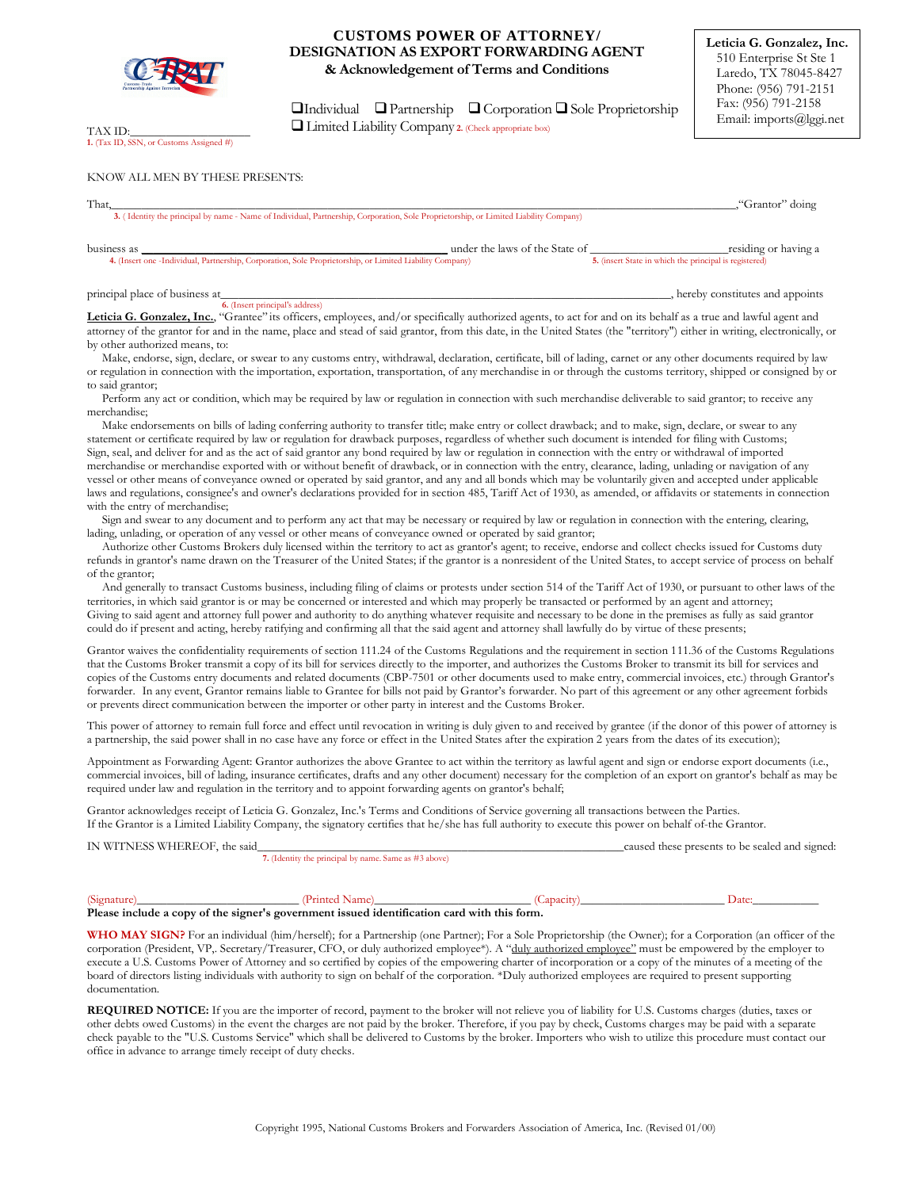

TAX ID: **1.** (Tax ID, SSN, or Customs Assigned #)

# **CUSTOMS POWER OF ATTORNEY/ DESIGNATION AS EXPORT FORWARDING AGENT & Acknowledgement of Terms and Conditions**

 $\Box$ Individual  $\Box$  Partnership  $\Box$  Corporation  $\Box$  Sole Proprietorship Limited Liability Company **2.** (Check appropriate box)

## KNOW ALL MEN BY THESE PRESENTS:

| That |                                                                                                                                       | "Grantor" doing |
|------|---------------------------------------------------------------------------------------------------------------------------------------|-----------------|
|      | 3. (Identity the principal by name - Name of Individual, Partnership, Corporation, Sole Proprietorship, or Limited Liability Company) |                 |
|      |                                                                                                                                       |                 |

business as \_\_\_\_\_\_\_\_\_\_\_\_\_\_\_\_\_\_\_\_\_\_\_\_\_\_\_\_\_\_\_\_\_\_\_\_\_\_\_\_\_\_\_\_\_\_\_\_\_\_\_ under the laws of the State of \_\_\_\_\_\_\_\_\_\_\_\_\_\_\_\_\_\_\_\_\_\_\_residing or having a **4.** (Insert one -Individual, Partnership, Corporation, Sole Proprietorship, or Limited Liability Company)

principal place of business at\_\_\_\_\_\_\_\_\_\_\_\_\_\_\_\_\_\_\_\_\_\_\_\_\_\_\_\_\_\_\_\_\_\_\_\_\_\_\_\_\_\_\_\_\_\_\_\_\_\_\_\_\_\_\_\_\_\_\_\_\_\_\_\_\_\_\_\_\_\_\_\_\_\_\_, hereby constitutes and appoints

**6.** (Insert principal's address)

Leticia G. Gonzalez, Inc., "Grantee" its officers, employees, and/or specifically authorized agents, to act for and on its behalf as a true and lawful agent and attorney of the grantor for and in the name, place and stead of said grantor, from this date, in the United States (the "territory") either in writing, electronically, or by other authorized means, to:

Make, endorse, sign, declare, or swear to any customs entry, withdrawal, declaration, certificate, bill of lading, carnet or any other documents required by law or regulation in connection with the importation, exportation, transportation, of any merchandise in or through the customs territory, shipped or consigned by or to said grantor;

 Perform any act or condition, which may be required by law or regulation in connection with such merchandise deliverable to said grantor; to receive any merchandise;

 Make endorsements on bills of lading conferring authority to transfer title; make entry or collect drawback; and to make, sign, declare, or swear to any statement or certificate required by law or regulation for drawback purposes, regardless of whether such document is intended for filing with Customs; Sign, seal, and deliver for and as the act of said grantor any bond required by law or regulation in connection with the entry or withdrawal of imported merchandise or merchandise exported with or without benefit of drawback, or in connection with the entry, clearance, lading, unlading or navigation of any vessel or other means of conveyance owned or operated by said grantor, and any and all bonds which may be voluntarily given and accepted under applicable laws and regulations, consignee's and owner's declarations provided for in section 485, Tariff Act of 1930, as amended, or affidavits or statements in connection with the entry of merchandise;

 Sign and swear to any document and to perform any act that may be necessary or required by law or regulation in connection with the entering, clearing, lading, unlading, or operation of any vessel or other means of conveyance owned or operated by said grantor;

 Authorize other Customs Brokers duly licensed within the territory to act as grantor's agent; to receive, endorse and collect checks issued for Customs duty refunds in grantor's name drawn on the Treasurer of the United States; if the grantor is a nonresident of the United States, to accept service of process on behalf of the grantor;

 And generally to transact Customs business, including filing of claims or protests under section 514 of the Tariff Act of 1930, or pursuant to other laws of the territories, in which said grantor is or may be concerned or interested and which may properly be transacted or performed by an agent and attorney; Giving to said agent and attorney full power and authority to do anything whatever requisite and necessary to be done in the premises as fully as said grantor could do if present and acting, hereby ratifying and confirming all that the said agent and attorney shall lawfully do by virtue of these presents;

Grantor waives the confidentiality requirements of section 111.24 of the Customs Regulations and the requirement in section 111.36 of the Customs Regulations that the Customs Broker transmit a copy of its bill for services directly to the importer, and authorizes the Customs Broker to transmit its bill for services and copies of the Customs entry documents and related documents (CBP-7501 or other documents used to make entry, commercial invoices, etc.) through Grantor's forwarder. In any event, Grantor remains liable to Grantee for bills not paid by Grantor's forwarder. No part of this agreement or any other agreement forbids or prevents direct communication between the importer or other party in interest and the Customs Broker.

This power of attorney to remain full force and effect until revocation in writing is duly given to and received by grantee (if the donor of this power of attorney is a partnership, the said power shall in no case have any force or effect in the United States after the expiration 2 years from the dates of its execution);

Appointment as Forwarding Agent: Grantor authorizes the above Grantee to act within the territory as lawful agent and sign or endorse export documents (i.e., commercial invoices, bill of lading, insurance certificates, drafts and any other document) necessary for the completion of an export on grantor's behalf as may be required under law and regulation in the territory and to appoint forwarding agents on grantor's behalf;

Grantor acknowledges receipt of Leticia G. Gonzalez, Inc.'s Terms and Conditions of Service governing all transactions between the Parties. If the Grantor is a Limited Liability Company, the signatory certifies that he/she has full authority to execute this power on behalf of-the Grantor.

IN WITNESS WHEREOF, the said\_\_\_\_\_\_\_\_\_\_\_\_\_\_\_\_\_\_\_\_\_\_\_\_\_\_\_\_\_\_\_\_\_\_\_\_\_\_\_\_\_\_\_\_\_\_\_\_\_\_\_\_\_\_\_\_\_\_\_\_\_caused these presents to be sealed and signed: **7.** (Identity the principal by name. Same as #3 above)

(Signature)\_\_\_\_\_\_\_\_\_\_\_\_\_\_\_\_\_\_\_\_\_\_\_\_\_\_\_ (Printed Name)\_\_\_\_\_\_\_\_\_\_\_\_\_\_\_\_\_\_\_\_\_\_\_\_\_\_ (Capacity)\_\_\_\_\_\_\_\_\_\_\_\_\_\_\_\_\_\_\_\_\_\_\_\_ Date:\_\_\_\_\_\_\_\_\_\_\_ **Please include a copy of the signer's government issued identification card with this form.** 

**WHO MAY SIGN?** For an individual (him/herself); for a Partnership (one Partner); For a Sole Proprietorship (the Owner); for a Corporation (an officer of the corporation (President, VP,. Secretary/Treasurer, CFO, or duly authorized employee\*). A "duly authorized employee" must be empowered by the employer to execute a U.S. Customs Power of Attorney and so certified by copies of the empowering charter of incorporation or a copy of the minutes of a meeting of the board of directors listing individuals with authority to sign on behalf of the corporation. \*Duly authorized employees are required to present supporting documentation.

**REQUIRED NOTICE:** If you are the importer of record, payment to the broker will not relieve you of liability for U.S. Customs charges (duties, taxes or other debts owed Customs) in the event the charges are not paid by the broker. Therefore, if you pay by check, Customs charges may be paid with a separate check payable to the "U.S. Customs Service" which shall be delivered to Customs by the broker. Importers who wish to utilize this procedure must contact our office in advance to arrange timely receipt of duty checks.